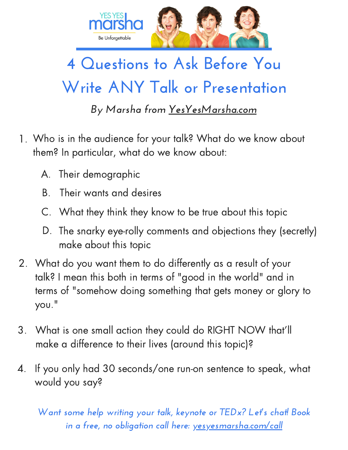

## **4 Questions to Ask Before You Write ANY Talk or Presentation**

*By Marsha from [YesYesMarsha.com](http://www.yesyesmarsha.com/)*

- Who is in the audience for your talk? What do we know about 1. them? In particular, what do we know about:
	- A. Their demographic
	- B. Their wants and desires
	- C. What they think they know to be true about this topic
	- D. The snarky eye-rolly comments and objections they (secretly) make about this topic
- What do you want them to do differently as a result of your 2. talk? I mean this both in terms of "good in the world" and in terms of "somehow doing something that gets money or glory to you."
- What is one small action they could do RIGHT NOW that'll make a difference to their lives (around this topic)? 3.
- If you only had 30 seconds/one run-on sentence to speak, what would you say? 4.

*Want some help writing your talk, keynote or TEDx? Let's chat! Book in a free, no obligation call here: [yesyesmarsha.com/call](http://www.yesyesmarsha.com/call)*